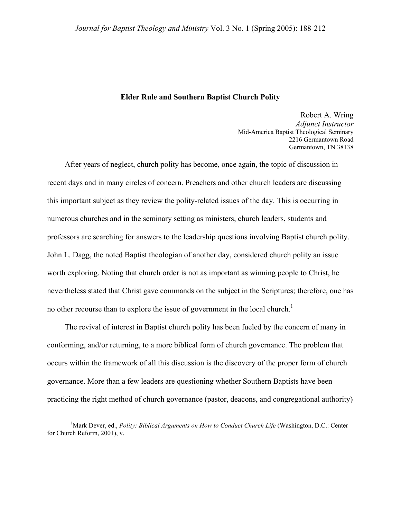#### **Elder Rule and Southern Baptist Church Polity**

Robert A. Wring *Adjunct Instructor*  Mid-America Baptist Theological Seminary 2216 Germantown Road Germantown, TN 38138

After years of neglect, church polity has become, once again, the topic of discussion in recent days and in many circles of concern. Preachers and other church leaders are discussing this important subject as they review the polity-related issues of the day. This is occurring in numerous churches and in the seminary setting as ministers, church leaders, students and professors are searching for answers to the leadership questions involving Baptist church polity. John L. Dagg, the noted Baptist theologian of another day, considered church polity an issue worth exploring. Noting that church order is not as important as winning people to Christ, he nevertheless stated that Christ gave commands on the subject in the Scriptures; therefore, one has no other recourse than to explore the issue of government in the local church.<sup>1</sup>

The revival of interest in Baptist church polity has been fueled by the concern of many in conforming, and/or returning, to a more biblical form of church governance. The problem that occurs within the framework of all this discussion is the discovery of the proper form of church governance. More than a few leaders are questioning whether Southern Baptists have been practicing the right method of church governance (pastor, deacons, and congregational authority)

<span id="page-0-0"></span> $\frac{1}{1}$ <sup>1</sup>Mark Dever, ed., *Polity: Biblical Arguments on How to Conduct Church Life* (Washington, D.C.: Center for Church Reform, 2001), v.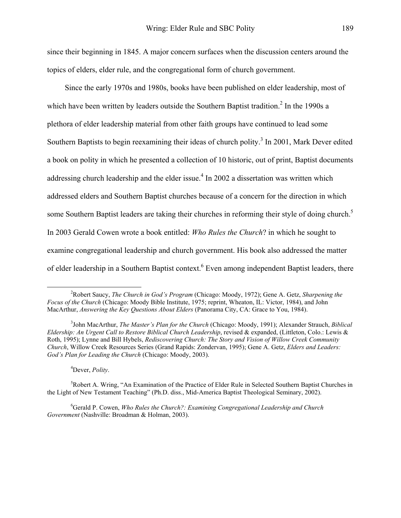since their beginning in 1845. A major concern surfaces when the discussion centers around the topics of elders, elder rule, and the congregational form of church government.

Since the early 1970s and 1980s, books have been published on elder leadership, most of which have been written by leaders outside the Southern Baptist tradition.<sup>2</sup> In the 1990s a plethora of elder leadership material from other faith groups have continued to lead some Southern Baptists to begin reexamining their ideas of church polity.<sup>[3](#page-1-1)</sup> In 2001, Mark Dever edited a book on polity in which he presented a collection of 10 historic, out of print, Baptist documents addressing church leadership and the elder issue.<sup>4</sup> In 2002 a dissertation was written which addressed elders and Southern Baptist churches because of a concern for the direction in which some Southern Baptist leaders are taking their churches in reforming their style of doing church.<sup>5</sup> In 2003 Gerald Cowen wrote a book entitled: *Who Rules the Church*? in which he sought to examine congregational leadership and church government. His book also addressed the matter of elder leadership in a Southern Baptist context. Even among independent Baptist leaders, there

<span id="page-1-3"></span><span id="page-1-2"></span>4 Dever, *Polity*.

<sup>5</sup>Robert A. Wring, "An Examination of the Practice of Elder Rule in Selected Southern Baptist Churches in the Light of New Testament Teaching" (Ph.D. diss., Mid-America Baptist Theological Seminary, 2002).

<span id="page-1-4"></span>6 Gerald P. Cowen, *Who Rules the Church?: Examining Congregational Leadership and Church Government* (Nashville: Broadman & Holman, 2003).

<span id="page-1-0"></span> $\frac{1}{2}$ Robert Saucy, *The Church in God's Program* (Chicago: Moody, 1972); Gene A. Getz, *Sharpening the Focus of the Church* (Chicago: Moody Bible Institute, 1975; reprint, Wheaton, IL: Victor, 1984), and John MacArthur, *Answering the Key Questions About Elders* (Panorama City, CA: Grace to You, 1984).

<span id="page-1-1"></span><sup>3</sup> John MacArthur, *The Master's Plan for the Church* (Chicago: Moody, 1991); Alexander Strauch, *Biblical Eldership: An Urgent Call to Restore Biblical Church Leadership*, revised & expanded, (Littleton, Colo.: Lewis & Roth, 1995); Lynne and Bill Hybels, *Rediscovering Church: The Story and Vision of Willow Creek Community Church*, Willow Creek Resources Series (Grand Rapids: Zondervan, 1995); Gene A. Getz, *Elders and Leaders: God's Plan for Leading the Church* (Chicago: Moody, 2003).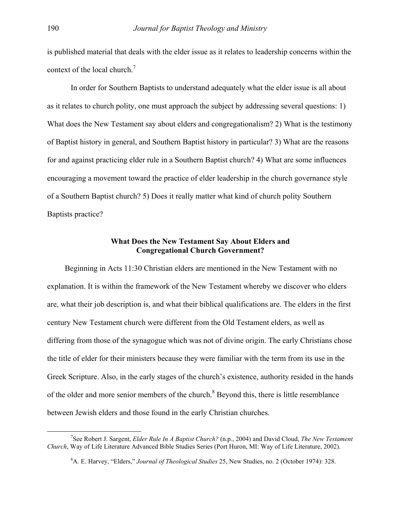is published material that deals with the elder issue as it relates to leadership concerns within the context of the local church.<sup>7</sup>

In order for Southern Baptists to understand adequately what the elder issue is all about as it relates to church polity, one must approach the subject by addressing several questions: 1) What does the New Testament say about elders and congregationalism? 2) What is the testimony of Baptist history in general, and Southern Baptist history in particular? 3) What are the reasons for and against practicing elder rule in a Southern Baptist church? 4) What are some influences encouraging a movement toward the practice of elder leadership in the church governance style of a Southern Baptist church? 5) Does it really matter what kind of church polity Southern Baptists practice?

# **What Does the New Testament Say About Elders and Congregational Church Government?**

Beginning in Acts 11:30 Christian elders are mentioned in the New Testament with no explanation. It is within the framework of the New Testament whereby we discover who elders are, what their job description is, and what their biblical qualifications are. The elders in the first century New Testament church were different from the Old Testament elders, as well as differing from those of the synagogue which was not of divine origin. The early Christians chose the title of elder for their ministers because they were familiar with the term from its use in the Greek Scripture. Also, in the early stages of the church's existence, authority resided in the hands of the older and more senior members of the church.<sup>[8](#page-2-1)</sup> Beyond this, there is little resemblance between Jewish elders and those found in the early Christian churches.

 $\frac{1}{7}$ See Robert J. Sargent, *Elder Rule In A Baptist Church?* (n.p., 2004) and David Cloud, *The New Testament Church*, Way of Life Literature Advanced Bible Studies Series (Port Huron, MI: Way of Life Literature, 2002).

<span id="page-2-1"></span><span id="page-2-0"></span><sup>8</sup> A. E. Harvey, "Elders," *Journal of Theological Studies* 25, New Studies, no. 2 (October 1974): 328.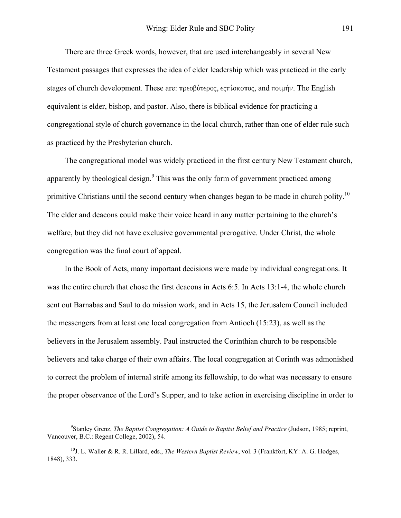There are three Greek words, however, that are used interchangeably in several New Testament passages that expresses the idea of elder leadership which was practiced in the early stages of church development. These are:  $\pi \rho \epsilon \sigma \beta \dot{\nu} \tau \epsilon \rho o \zeta$ ,  $\epsilon \zeta \pi \dot{\nu} \sigma \kappa o \pi o \zeta$ , and  $\pi o \psi \dot{\mu} \gamma$ . The English equivalent is elder, bishop, and pastor. Also, there is biblical evidence for practicing a congregational style of church governance in the local church, rather than one of elder rule such as practiced by the Presbyterian church.

The congregational model was widely practiced in the first century New Testament church, apparently by theological design. $9$  This was the only form of government practiced among primitive Christians until the second century when changes began to be made in church polity.<sup>10</sup> The elder and deacons could make their voice heard in any matter pertaining to the church's welfare, but they did not have exclusive governmental prerogative. Under Christ, the whole congregation was the final court of appeal.

In the Book of Acts, many important decisions were made by individual congregations. It was the entire church that chose the first deacons in Acts 6:5. In Acts 13:1-4, the whole church sent out Barnabas and Saul to do mission work, and in Acts 15, the Jerusalem Council included the messengers from at least one local congregation from Antioch (15:23), as well as the believers in the Jerusalem assembly. Paul instructed the Corinthian church to be responsible believers and take charge of their own affairs. The local congregation at Corinth was admonished to correct the problem of internal strife among its fellowship, to do what was necessary to ensure the proper observance of the Lord's Supper, and to take action in exercising discipline in order to

1

<span id="page-3-0"></span><sup>9</sup> Stanley Grenz, *The Baptist Congregation: A Guide to Baptist Belief and Practice* (Judson, 1985; reprint, Vancouver, B.C.: Regent College, 2002), 54.

<span id="page-3-1"></span><sup>10</sup>J. L. Waller & R. R. Lillard, eds., *The Western Baptist Review*, vol. 3 (Frankfort, KY: A. G. Hodges, 1848), 333.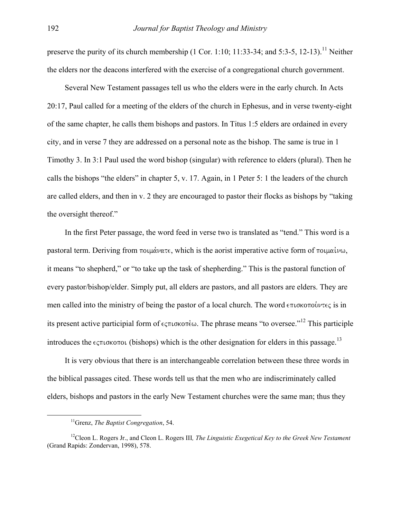preserve the purity of its church membership  $(1 \text{ Cor. } 1:10; 11:33-34; \text{ and } 5:3-5, 12-13).$ <sup>11</sup> Neither the elders nor the deacons interfered with the exercise of a congregational church government.

Several New Testament passages tell us who the elders were in the early church. In Acts 20:17, Paul called for a meeting of the elders of the church in Ephesus, and in verse twenty-eight of the same chapter, he calls them bishops and pastors. In Titus 1:5 elders are ordained in every city, and in verse 7 they are addressed on a personal note as the bishop. The same is true in 1 Timothy 3. In 3:1 Paul used the word bishop (singular) with reference to elders (plural). Then he calls the bishops "the elders" in chapter 5, v. 17. Again, in 1 Peter 5: 1 the leaders of the church are called elders, and then in v. 2 they are encouraged to pastor their flocks as bishops by "taking the oversight thereof."

In the first Peter passage, the word feed in verse two is translated as "tend." This word is a pastoral term. Deriving from  $\pi$ olu $\alpha$ vate, which is the aorist imperative active form of  $\pi$ olu $\alpha$ iv $\alpha$ , it means "to shepherd," or "to take up the task of shepherding." This is the pastoral function of every pastor/bishop/elder. Simply put, all elders are pastors, and all pastors are elders. They are men called into the ministry of being the pastor of a local church. The word  $\epsilon \pi \iota \sigma \kappa$ its present active participial form of  $\epsilon \varsigma \pi \iota \sigma \kappa \sigma \tau \dot{\epsilon} \omega$ . The phrase means "to oversee."<sup>12</sup> This participle introduces the  $\epsilon$ <sub>5</sub> $\pi$ 1 $\sigma$ Ko $\pi$ 01 (bishops) which is the other designation for elders in this passage.<sup>[13](#page-4-2)</sup>

<span id="page-4-2"></span>It is very obvious that there is an interchangeable correlation between these three words in the biblical passages cited. These words tell us that the men who are indiscriminately called elders, bishops and pastors in the early New Testament churches were the same man; thus they

<span id="page-4-1"></span><span id="page-4-0"></span> <sup>11</sup>Grenz, *The Baptist Congregation*, 54.

<sup>12</sup>Cleon L. Rogers Jr., and Cleon L. Rogers III*, The Linguistic Exegetical Key to the Greek New Testament* (Grand Rapids: Zondervan, 1998), 578.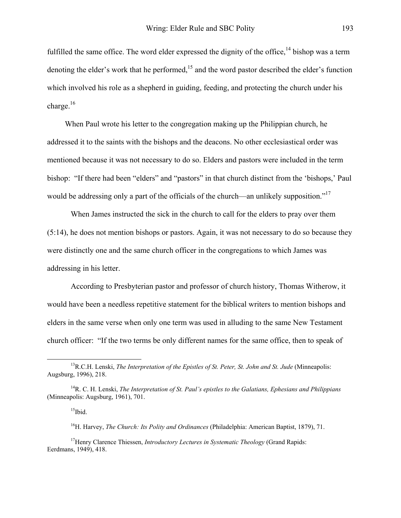fulfilled the same office. The word elder expressed the dignity of the office,<sup>14</sup> bishop was a term denoting the elder's work that he performed, $15$  and the word pastor described the elder's function which involved his role as a shepherd in guiding, feeding, and protecting the church under his charge.<sup>16</sup>

When Paul wrote his letter to the congregation making up the Philippian church, he addressed it to the saints with the bishops and the deacons. No other ecclesiastical order was mentioned because it was not necessary to do so. Elders and pastors were included in the term bishop: "If there had been "elders" and "pastors" in that church distinct from the 'bishops,' Paul would be addressing only a part of the officials of the church—an unlikely supposition."<sup>17</sup>

When James instructed the sick in the church to call for the elders to pray over them (5:14), he does not mention bishops or pastors. Again, it was not necessary to do so because they were distinctly one and the same church officer in the congregations to which James was addressing in his letter.

According to Presbyterian pastor and professor of church history, Thomas Witherow, it would have been a needless repetitive statement for the biblical writers to mention bishops and elders in the same verse when only one term was used in alluding to the same New Testament church officer: "If the two terms be only different names for the same office, then to speak of

 <sup>13</sup>R.C.H. Lenski, *The Interpretation of the Epistles of St. Peter, St. John and St. Jude* (Minneapolis: Augsburg, 1996), 218.

<sup>14</sup>R. C. H. Lenski, *The Interpretation of St. Paul's epistles to the Galatians, Ephesians and Philippians* (Minneapolis: Augsburg, 1961), 701.

<span id="page-5-1"></span><span id="page-5-0"></span> $15$ Ibid.

<span id="page-5-3"></span><span id="page-5-2"></span><sup>16</sup>H. Harvey, *The Church: Its Polity and Ordinances* (Philadelphia: American Baptist, 1879), 71.

<sup>&</sup>lt;sup>17</sup>Henry Clarence Thiessen, *Introductory Lectures in Systematic Theology* (Grand Rapids: Eerdmans, 1949), 418.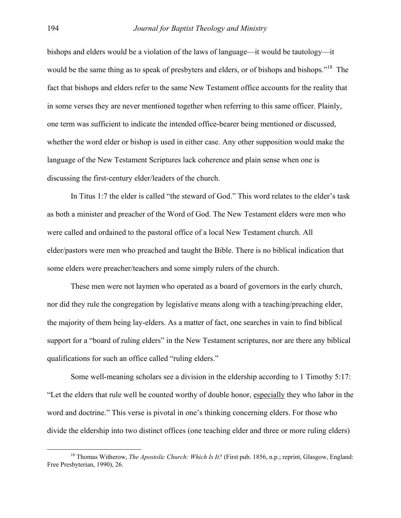bishops and elders would be a violation of the laws of language—it would be tautology—it would be the same thing as to speak of presbyters and elders, or of bishops and bishops."<sup>18</sup> The fact that bishops and elders refer to the same New Testament office accounts for the reality that in some verses they are never mentioned together when referring to this same officer. Plainly, one term was sufficient to indicate the intended office-bearer being mentioned or discussed, whether the word elder or bishop is used in either case. Any other supposition would make the language of the New Testament Scriptures lack coherence and plain sense when one is discussing the first-century elder/leaders of the church.

In Titus 1:7 the elder is called "the steward of God." This word relates to the elder's task as both a minister and preacher of the Word of God. The New Testament elders were men who were called and ordained to the pastoral office of a local New Testament church. All elder/pastors were men who preached and taught the Bible. There is no biblical indication that some elders were preacher/teachers and some simply rulers of the church.

These men were not laymen who operated as a board of governors in the early church, nor did they rule the congregation by legislative means along with a teaching/preaching elder, the majority of them being lay-elders. As a matter of fact, one searches in vain to find biblical support for a "board of ruling elders" in the New Testament scriptures, nor are there any biblical qualifications for such an office called "ruling elders."

Some well-meaning scholars see a division in the eldership according to 1 Timothy 5:17: "Let the elders that rule well be counted worthy of double honor, especially they who labor in the word and doctrine." This verse is pivotal in one's thinking concerning elders. For those who divide the eldership into two distinct offices (one teaching elder and three or more ruling elders)

<span id="page-6-0"></span><sup>&</sup>lt;sup>18</sup> Thomas Witherow, *The Apostolic Church: Which Is It?* (First pub. 1856, n.p.; reprint, Glasgow, England: Free Presbyterian, 1990), 26.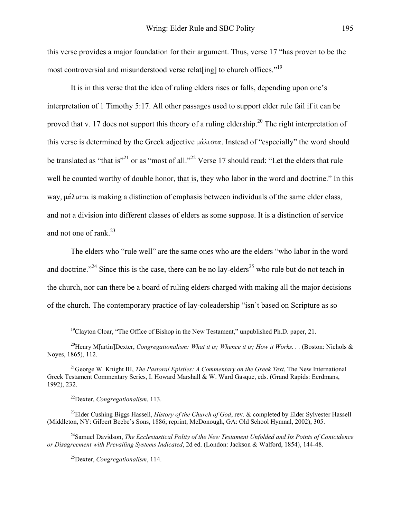this verse provides a major foundation for their argument. Thus, verse 17 "has proven to be the most controversial and misunderstood verse relat[ing] to church offices."<sup>19</sup>

It is in this verse that the idea of ruling elders rises or falls, depending upon one's interpretation of 1 Timothy 5:17. All other passages used to support elder rule fail if it can be proved that v. 17 does not support this theory of a ruling eldership.<sup>20</sup> The right interpretation of this verse is determined by the Greek adjective  $\mu\alpha\lambda\iota\sigma\tau\alpha$ . Instead of "especially" the word should be translated as "that is"<sup>21</sup> or as "most of all."<sup>22</sup> Verse 17 should read: "Let the elders that rule well be counted worthy of double honor, that is, they who labor in the word and doctrine." In this way,  $\mu \alpha \lambda \iota \sigma \tau \alpha$  is making a distinction of emphasis between individuals of the same elder class, and not a division into different classes of elders as some suppose. It is a distinction of service and not one of rank.[23](#page-7-4) 

The elders who "rule well" are the same ones who are the elders "who labor in the word and doctrine."<sup>24</sup> Since this is the case, there can be no lay-elders<sup>25</sup> who rule but do not teach in the church, nor can there be a board of ruling elders charged with making all the major decisions of the church. The contemporary practice of lay-coleadership "isn't based on Scripture as so

<span id="page-7-4"></span><span id="page-7-3"></span>22Dexter, *Congregationalism*, 113.

<sup>23</sup>Elder Cushing Biggs Hassell, *History of the Church of God*, rev. & completed by Elder Sylvester Hassell (Middleton, NY: Gilbert Beebe's Sons, 1886; reprint, McDonough, GA: Old School Hymnal, 2002), 305.

24Samuel Davidson, *The Ecclesiastical Polity of the New Testament Unfolded and Its Points of Conicidence or Disagreement with Prevailing Systems Indicated*, 2d ed. (London: Jackson & Walford, 1854), 144-48.

<span id="page-7-6"></span><span id="page-7-5"></span>25Dexter, *Congregationalism*, 114.

<span id="page-7-1"></span><span id="page-7-0"></span><sup>&</sup>lt;sup>19</sup>Clayton Cloar, "The Office of Bishop in the New Testament," unpublished Ph.D. paper, 21.

<sup>&</sup>lt;sup>20</sup>Henry M[artin]Dexter, *Congregationalism: What it is; Whence it is; How it Works...* (Boston: Nichols  $\&$ Noyes, 1865), 112.

<span id="page-7-2"></span><sup>21</sup>George W. Knight III, *The Pastoral Epistles: A Commentary on the Greek Text*, The New International Greek Testament Commentary Series, I. Howard Marshall & W. Ward Gasque, eds. (Grand Rapids: Eerdmans, 1992), 232.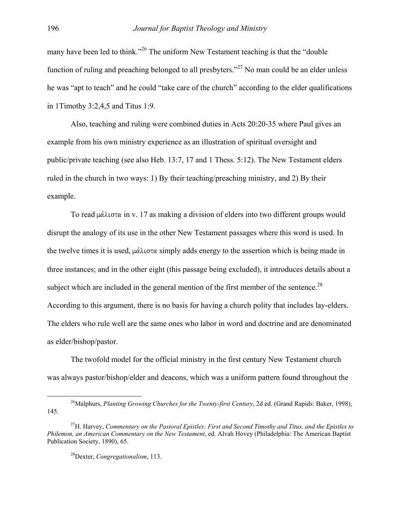many have been led to think."<sup>26</sup> The uniform New Testament teaching is that the "double" function of ruling and preaching belonged to all presbyters."<sup>27</sup> No man could be an elder unless he was "apt to teach" and he could "take care of the church" according to the elder qualifications in 1Timothy 3:2,4,5 and Titus 1:9.

Also, teaching and ruling were combined duties in Acts 20:20-35 where Paul gives an example from his own ministry experience as an illustration of spiritual oversight and public/private teaching (see also Heb. 13:7, 17 and 1 Thess. 5:12). The New Testament elders ruled in the church in two ways: 1) By their teaching/preaching ministry, and 2) By their example.

To read  $\mu\alpha\lambda\mu\sigma\alpha$  in v. 17 as making a division of elders into two different groups would disrupt the analogy of its use in the other New Testament passages where this word is used. In the twelve times it is used,  $\mu\alpha\lambda\log\alpha$  simply adds energy to the assertion which is being made in three instances; and in the other eight (this passage being excluded), it introduces details about a subject which are included in the general mention of the first member of the sentence.<sup>[28](#page-8-2)</sup> According to this argument, there is no basis for having a church polity that includes lay-elders. The elders who rule well are the same ones who labor in word and doctrine and are denominated as elder/bishop/pastor.

The twofold model for the official ministry in the first century New Testament church was always pastor/bishop/elder and deacons, which was a uniform pattern found throughout the

<span id="page-8-0"></span><sup>&</sup>lt;sup>26</sup>Malphurs, *Planting Growing Churches for the Twenty-first Century*, 2d ed. (Grand Rapids: Baker, 1998), 145.

<span id="page-8-1"></span><sup>27</sup>H. Harvey, *Commentary on the Pastoral Epistles: First and Second Timothy and Titus, and the Epistles to Philemon, an American Commentary on the New Testament*, ed. Alvah Hovey (Philadelphia: The American Baptist Publication Society, 1890), 65.

<span id="page-8-2"></span><sup>28</sup>Dexter, *Congregationalism*, 113.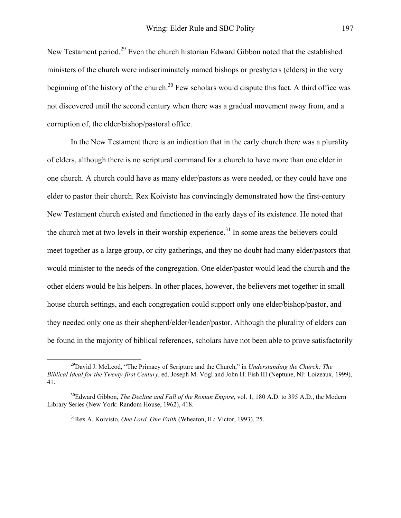New Testament period.[29 E](#page-9-0)ven the church historian Edward Gibbon noted that the established ministers of the church were indiscriminately named bishops or presbyters (elders) in the very beginning of the history of the church.<sup>30</sup> Few scholars would dispute this fact. A third office was not discovered until the second century when there was a gradual movement away from, and a corruption of, the elder/bishop/pastoral office.

In the New Testament there is an indication that in the early church there was a plurality of elders, although there is no scriptural command for a church to have more than one elder in one church. A church could have as many elder/pastors as were needed, or they could have one elder to pastor their church. Rex Koivisto has convincingly demonstrated how the first-century New Testament church existed and functioned in the early days of its existence. He noted that the church met at two levels in their worship experience.<sup>31</sup> In some areas the believers could meet together as a large group, or city gatherings, and they no doubt had many elder/pastors that would minister to the needs of the congregation. One elder/pastor would lead the church and the other elders would be his helpers. In other places, however, the believers met together in small house church settings, and each congregation could support only one elder/bishop/pastor, and they needed only one as their shepherd/elder/leader/pastor. Although the plurality of elders can be found in the majority of biblical references, scholars have not been able to prove satisfactorily

<span id="page-9-0"></span><sup>&</sup>lt;sup>29</sup>David J. McLeod, "The Primacy of Scripture and the Church," in *Understanding the Church: The Biblical Ideal for the Twenty-first Century*, ed. Joseph M. Vogl and John H. Fish III (Neptune, NJ: Loizeaux, 1999), 41.

<sup>&</sup>lt;sup>30</sup>Edward Gibbon, *The Decline and Fall of the Roman Empire*, vol. 1, 180 A.D. to 395 A.D., the Modern Library Series (New York: Random House, 1962), 418.

<span id="page-9-2"></span><span id="page-9-1"></span><sup>31</sup>Rex A. Koivisto, *One Lord, One Faith* (Wheaton, IL: Victor, 1993), 25.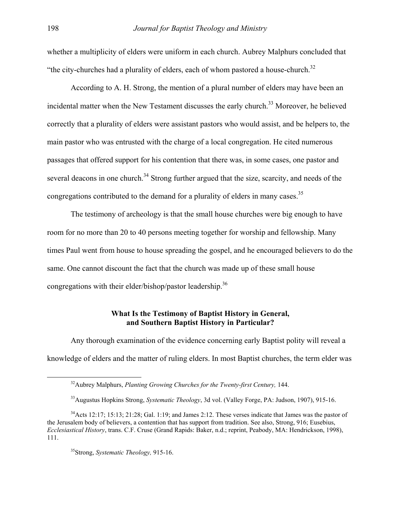whether a multiplicity of elders were uniform in each church. Aubrey Malphurs concluded that "the city-churches had a plurality of elders, each of whom pastored a house-church. $32$ 

According to A. H. Strong, the mention of a plural number of elders may have been an incidental matter when the New Testament discusses the early church.<sup>33</sup> Moreover, he believed correctly that a plurality of elders were assistant pastors who would assist, and be helpers to, the main pastor who was entrusted with the charge of a local congregation. He cited numerous passages that offered support for his contention that there was, in some cases, one pastor and several deacons in one church.<sup>34</sup> Strong further argued that the size, scarcity, and needs of the congregations contributed to the demand for a plurality of elders in many cases.<sup>35</sup>

The testimony of archeology is that the small house churches were big enough to have room for no more than 20 to 40 persons meeting together for worship and fellowship. Many times Paul went from house to house spreading the gospel, and he encouraged believers to do the same. One cannot discount the fact that the church was made up of these small house congregations with their elder/bishop/pastor leadership.<sup>36</sup>

# **What Is the Testimony of Baptist History in General, and Southern Baptist History in Particular?**

Any thorough examination of the evidence concerning early Baptist polity will reveal a knowledge of elders and the matter of ruling elders. In most Baptist churches, the term elder was

<span id="page-10-4"></span><span id="page-10-0"></span> <sup>32</sup>Aubrey Malphurs, *Planting Growing Churches for the Twenty-first Century,* 144.

<span id="page-10-2"></span><span id="page-10-1"></span><sup>33</sup>Augustus Hopkins Strong, *Systematic Theology*, 3d vol. (Valley Forge, PA: Judson, 1907), 915-16.

 $34$ Acts 12:17; 15:13; 21:28; Gal. 1:19; and James 2:12. These verses indicate that James was the pastor of the Jerusalem body of believers, a contention that has support from tradition. See also, Strong, 916; Eusebius, *Ecclesiastical History*, trans. C.F. Cruse (Grand Rapids: Baker, n.d.; reprint, Peabody, MA: Hendrickson, 1998), 111.

<span id="page-10-3"></span><sup>35</sup>Strong, *Systematic Theology,* 915-16.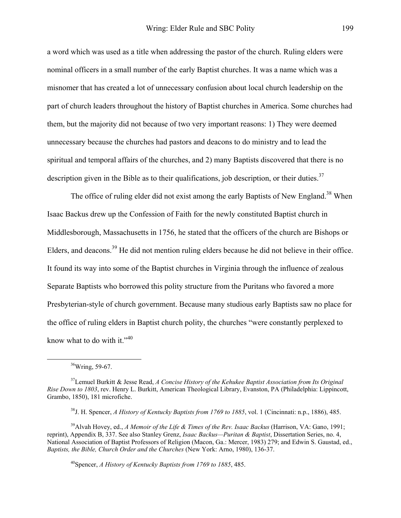a word which was used as a title when addressing the pastor of the church. Ruling elders were nominal officers in a small number of the early Baptist churches. It was a name which was a misnomer that has created a lot of unnecessary confusion about local church leadership on the part of church leaders throughout the history of Baptist churches in America. Some churches had them, but the majority did not because of two very important reasons: 1) They were deemed unnecessary because the churches had pastors and deacons to do ministry and to lead the spiritual and temporal affairs of the churches, and 2) many Baptists discovered that there is no description given in the Bible as to their qualifications, job description, or their duties.  $37$ 

The office of ruling elder did not exist among the early Baptists of New England.<sup>38</sup> When Isaac Backus drew up the Confession of Faith for the newly constituted Baptist church in Middlesborough, Massachusetts in 1756, he stated that the officers of the church are Bishops or Elders, and deacons.[39 H](#page-11-2)e did not mention ruling elders because he did not believe in their office. It found its way into some of the Baptist churches in Virginia through the influence of zealous Separate Baptists who borrowed this polity structure from the Puritans who favored a more Presbyterian-style of church government. Because many studious early Baptists saw no place for the office of ruling elders in Baptist church polity, the churches "were constantly perplexed to know what to do with it." $40$ 

39Alvah Hovey, ed., *A Memoir of the Life & Times of the Rev. Isaac Backus* (Harrison, VA: Gano, 1991; reprint), Appendix B, 337. See also Stanley Grenz, *Isaac Backus—Puritan & Baptist*, Dissertation Series, no. 4, National Association of Baptist Professors of Religion (Macon, Ga.: Mercer, 1983) 279; and Edwin S. Gaustad, ed., *Baptists, the Bible, Church Order and the Churches* (New York: Arno, 1980), 136-37.

<span id="page-11-3"></span>40Spencer, *A History of Kentucky Baptists from 1769 to 1885*, 485.

<span id="page-11-0"></span> <sup>36</sup>Wring, 59-67.

<sup>37</sup>Lemuel Burkitt & Jesse Read, *A Concise History of the Kehukee Baptist Association from Its Original Rise Down to 1803*, rev. Henry L. Burkitt, American Theological Library, Evanston, PA (Philadelphia: Lippincott, Grambo, 1850), 181 microfiche.

<span id="page-11-2"></span><span id="page-11-1"></span><sup>38</sup>J. H. Spencer, *A History of Kentucky Baptists from 1769 to 1885*, vol. 1 (Cincinnati: n.p., 1886), 485.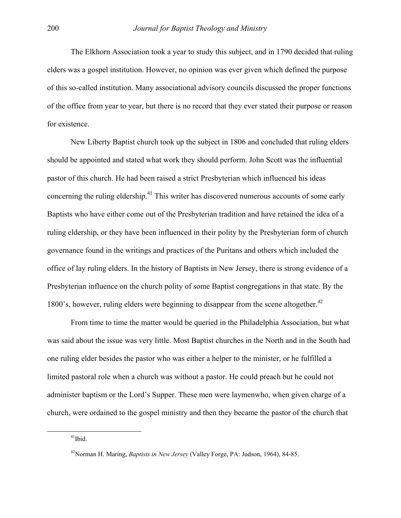The Elkhorn Association took a year to study this subject, and in 1790 decided that ruling elders was a gospel institution. However, no opinion was ever given which defined the purpose of this so-called institution. Many associational advisory councils discussed the proper functions of the office from year to year, but there is no record that they ever stated their purpose or reason for existence.

New Liberty Baptist church took up the subject in 1806 and concluded that ruling elders should be appointed and stated what work they should perform. John Scott was the influential pastor of this church. He had been raised a strict Presbyterian which influenced his ideas concerning the ruling eldership.<sup>41</sup> This writer has discovered numerous accounts of some early Baptists who have either come out of the Presbyterian tradition and have retained the idea of a ruling eldership, or they have been influenced in their polity by the Presbyterian form of church governance found in the writings and practices of the Puritans and others which included the office of lay ruling elders. In the history of Baptists in New Jersey, there is strong evidence of a Presbyterian influence on the church polity of some Baptist congregations in that state. By the 1800's, however, ruling elders were beginning to disappear from the scene altogether.<sup>[42](#page-12-1)</sup>

From time to time the matter would be queried in the Philadelphia Association, but what was said about the issue was very little. Most Baptist churches in the North and in the South had one ruling elder besides the pastor who was either a helper to the minister, or he fulfilled a limited pastoral role when a church was without a pastor. He could preach but he could not administer baptism or the Lord's Supper. These men were laymenwho, when given charge of a church, were ordained to the gospel ministry and then they became the pastor of the church that

<span id="page-12-0"></span> $41$ Ibid.

<span id="page-12-1"></span><sup>42</sup>Norman H. Maring, *Baptists in New Jersey* (Valley Forge, PA: Judson, 1964), 84-85.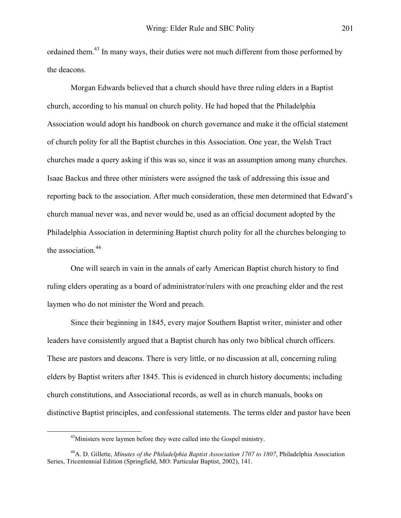ordained them.<sup>43</sup> In many ways, their duties were not much different from those performed by the deacons.

Morgan Edwards believed that a church should have three ruling elders in a Baptist church, according to his manual on church polity. He had hoped that the Philadelphia Association would adopt his handbook on church governance and make it the official statement of church polity for all the Baptist churches in this Association. One year, the Welsh Tract churches made a query asking if this was so, since it was an assumption among many churches. Isaac Backus and three other ministers were assigned the task of addressing this issue and reporting back to the association. After much consideration, these men determined that Edward's church manual never was, and never would be, used as an official document adopted by the Philadelphia Association in determining Baptist church polity for all the churches belonging to the association.<sup>44</sup>

One will search in vain in the annals of early American Baptist church history to find ruling elders operating as a board of administrator/rulers with one preaching elder and the rest laymen who do not minister the Word and preach.

Since their beginning in 1845, every major Southern Baptist writer, minister and other leaders have consistently argued that a Baptist church has only two biblical church officers. These are pastors and deacons. There is very little, or no discussion at all, concerning ruling elders by Baptist writers after 1845. This is evidenced in church history documents; including church constitutions, and Associational records, as well as in church manuals, books on distinctive Baptist principles, and confessional statements. The terms elder and pastor have been

<span id="page-13-1"></span><span id="page-13-0"></span><sup>&</sup>lt;sup>43</sup>Ministers were laymen before they were called into the Gospel ministry.

<sup>44</sup>A. D. Gillette, *Minutes of the Philadelphia Baptist Association 1707 to 1807*, Philadelphia Association Series, Tricentennial Edition (Springfield, MO: Particular Baptist, 2002), 141.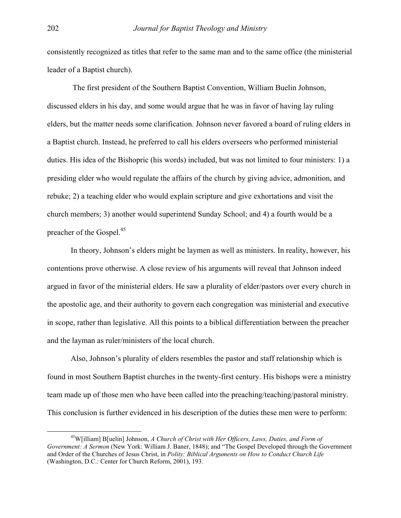consistently recognized as titles that refer to the same man and to the same office (the ministerial leader of a Baptist church).

 The first president of the Southern Baptist Convention, William Buelin Johnson, discussed elders in his day, and some would argue that he was in favor of having lay ruling elders, but the matter needs some clarification. Johnson never favored a board of ruling elders in a Baptist church. Instead, he preferred to call his elders overseers who performed ministerial duties. His idea of the Bishopric (his words) included, but was not limited to four ministers: 1) a presiding elder who would regulate the affairs of the church by giving advice, admonition, and rebuke; 2) a teaching elder who would explain scripture and give exhortations and visit the church members; 3) another would superintend Sunday School; and 4) a fourth would be a preacher of the Gospel.<sup>45</sup>

In theory, Johnson's elders might be laymen as well as ministers. In reality, however, his contentions prove otherwise. A close review of his arguments will reveal that Johnson indeed argued in favor of the ministerial elders. He saw a plurality of elder/pastors over every church in the apostolic age, and their authority to govern each congregation was ministerial and executive in scope, rather than legislative. All this points to a biblical differentiation between the preacher and the layman as ruler/ministers of the local church.

Also, Johnson's plurality of elders resembles the pastor and staff relationship which is found in most Southern Baptist churches in the twenty-first century. His bishops were a ministry team made up of those men who have been called into the preaching/teaching/pastoral ministry. This conclusion is further evidenced in his description of the duties these men were to perform:

<span id="page-14-0"></span> <sup>45</sup>W[illiam] B[uelin] Johnson, *A Church of Christ with Her Officers, Laws, Duties, and Form of Government: A Sermon* (New York: William J. Baner, 1848); and "The Gospel Developed through the Government and Order of the Churches of Jesus Christ, in *Polity: Biblical Arguments on How to Conduct Church Life* (Washington, D.C.: Center for Church Reform, 2001), 193.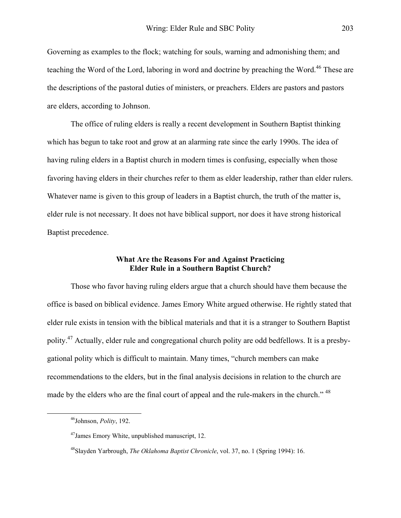Governing as examples to the flock; watching for souls, warning and admonishing them; and teaching the Word of the Lord, laboring in word and doctrine by preaching the Word.<sup>46</sup> These are the descriptions of the pastoral duties of ministers, or preachers. Elders are pastors and pastors are elders, according to Johnson.

The office of ruling elders is really a recent development in Southern Baptist thinking which has begun to take root and grow at an alarming rate since the early 1990s. The idea of having ruling elders in a Baptist church in modern times is confusing, especially when those favoring having elders in their churches refer to them as elder leadership, rather than elder rulers. Whatever name is given to this group of leaders in a Baptist church, the truth of the matter is, elder rule is not necessary. It does not have biblical support, nor does it have strong historical Baptist precedence.

# **What Are the Reasons For and Against Practicing Elder Rule in a Southern Baptist Church?**

Those who favor having ruling elders argue that a church should have them because the office is based on biblical evidence. James Emory White argued otherwise. He rightly stated that elder rule exists in tension with the biblical materials and that it is a stranger to Southern Baptist polity.<sup>47</sup> Actually, elder rule and congregational church polity are odd bedfellows. It is a presbygational polity which is difficult to maintain. Many times, "church members can make recommendations to the elders, but in the final analysis decisions in relation to the church are made by the elders who are the final court of appeal and the rule-makers in the church."<sup>48</sup>

<span id="page-15-0"></span> <sup>46</sup>Johnson, *Polity*, 192.

<span id="page-15-1"></span><sup>47</sup>James Emory White, unpublished manuscript, 12.

<span id="page-15-2"></span><sup>48</sup>Slayden Yarbrough, *The Oklahoma Baptist Chronicle*, vol. 37, no. 1 (Spring 1994): 16.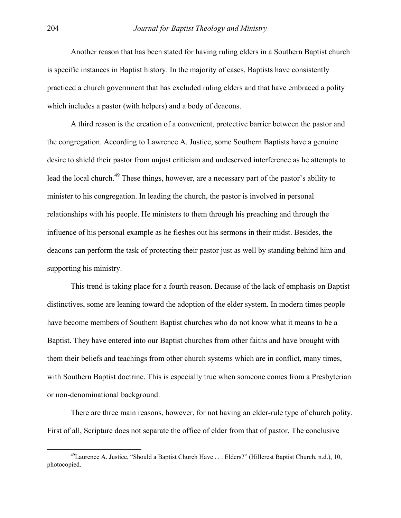Another reason that has been stated for having ruling elders in a Southern Baptist church is specific instances in Baptist history. In the majority of cases, Baptists have consistently practiced a church government that has excluded ruling elders and that have embraced a polity which includes a pastor (with helpers) and a body of deacons.

A third reason is the creation of a convenient, protective barrier between the pastor and the congregation. According to Lawrence A. Justice, some Southern Baptists have a genuine desire to shield their pastor from unjust criticism and undeserved interference as he attempts to lead the local church.<sup>49</sup> These things, however, are a necessary part of the pastor's ability to minister to his congregation. In leading the church, the pastor is involved in personal relationships with his people. He ministers to them through his preaching and through the influence of his personal example as he fleshes out his sermons in their midst. Besides, the deacons can perform the task of protecting their pastor just as well by standing behind him and supporting his ministry.

This trend is taking place for a fourth reason. Because of the lack of emphasis on Baptist distinctives, some are leaning toward the adoption of the elder system. In modern times people have become members of Southern Baptist churches who do not know what it means to be a Baptist. They have entered into our Baptist churches from other faiths and have brought with them their beliefs and teachings from other church systems which are in conflict, many times, with Southern Baptist doctrine. This is especially true when someone comes from a Presbyterian or non-denominational background.

There are three main reasons, however, for not having an elder-rule type of church polity. First of all, Scripture does not separate the office of elder from that of pastor. The conclusive

<span id="page-16-0"></span> <sup>49</sup>Laurence A. Justice, "Should a Baptist Church Have . . . Elders?" (Hillcrest Baptist Church, n.d.), 10, photocopied.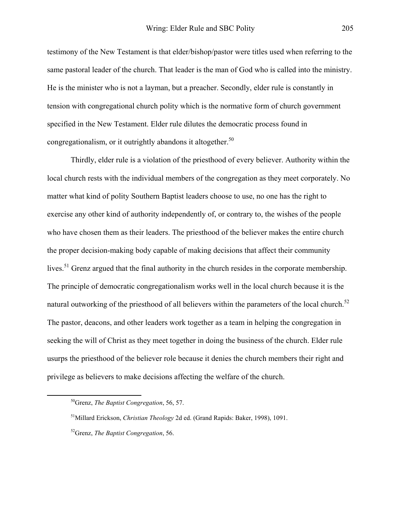testimony of the New Testament is that elder/bishop/pastor were titles used when referring to the same pastoral leader of the church. That leader is the man of God who is called into the ministry. He is the minister who is not a layman, but a preacher. Secondly, elder rule is constantly in tension with congregational church polity which is the normative form of church government specified in the New Testament. Elder rule dilutes the democratic process found in congregationalism, or it outrightly abandons it altogether.<sup>50</sup>

Thirdly, elder rule is a violation of the priesthood of every believer. Authority within the local church rests with the individual members of the congregation as they meet corporately. No matter what kind of polity Southern Baptist leaders choose to use, no one has the right to exercise any other kind of authority independently of, or contrary to, the wishes of the people who have chosen them as their leaders. The priesthood of the believer makes the entire church the proper decision-making body capable of making decisions that affect their community lives.<sup>51</sup> Grenz argued that the final authority in the church resides in the corporate membership. The principle of democratic congregationalism works well in the local church because it is the natural outworking of the priesthood of all believers within the parameters of the local church.<sup>[52](#page-17-2)</sup> The pastor, deacons, and other leaders work together as a team in helping the congregation in seeking the will of Christ as they meet together in doing the business of the church. Elder rule usurps the priesthood of the believer role because it denies the church members their right and privilege as believers to make decisions affecting the welfare of the church.

<span id="page-17-0"></span> <sup>50</sup>Grenz, *The Baptist Congregation*, 56, 57.

<span id="page-17-1"></span><sup>51</sup>Millard Erickson, *Christian Theology* 2d ed. (Grand Rapids: Baker, 1998), 1091.

<span id="page-17-2"></span><sup>52</sup>Grenz, *The Baptist Congregation*, 56.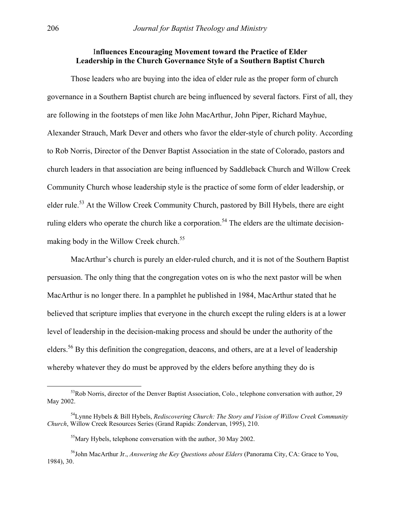### I**nfluences Encouraging Movement toward the Practice of Elder Leadership in the Church Governance Style of a Southern Baptist Church**

Those leaders who are buying into the idea of elder rule as the proper form of church governance in a Southern Baptist church are being influenced by several factors. First of all, they are following in the footsteps of men like John MacArthur, John Piper, Richard Mayhue, Alexander Strauch, Mark Dever and others who favor the elder-style of church polity. According to Rob Norris, Director of the Denver Baptist Association in the state of Colorado, pastors and church leaders in that association are being influenced by Saddleback Church and Willow Creek Community Church whose leadership style is the practice of some form of elder leadership, or elder rule.<sup>53</sup> At the Willow Creek Community Church, pastored by Bill Hybels, there are eight ruling elders who operate the church like a corporation.<sup>54</sup> The elders are the ultimate decision-making body in the Willow Creek church.<sup>[55](#page-18-2)</sup>

MacArthur's church is purely an elder-ruled church, and it is not of the Southern Baptist persuasion. The only thing that the congregation votes on is who the next pastor will be when MacArthur is no longer there. In a pamphlet he published in 1984, MacArthur stated that he believed that scripture implies that everyone in the church except the ruling elders is at a lower level of leadership in the decision-making process and should be under the authority of the elders.[56 B](#page-18-3)y this definition the congregation, deacons, and others, are at a level of leadership whereby whatever they do must be approved by the elders before anything they do is

<span id="page-18-0"></span><sup>&</sup>lt;sup>53</sup>Rob Norris, director of the Denver Baptist Association, Colo., telephone conversation with author, 29 May 2002.

<sup>54</sup>Lynne Hybels & Bill Hybels, *Rediscovering Church: The Story and Vision of Willow Creek Community Church*, Willow Creek Resources Series (Grand Rapids: Zondervan, 1995), 210.

<span id="page-18-3"></span><span id="page-18-2"></span><span id="page-18-1"></span> $55$ Mary Hybels, telephone conversation with the author, 30 May 2002.

<sup>56</sup>John MacArthur Jr., *Answering the Key Questions about Elders* (Panorama City, CA: Grace to You, 1984), 30.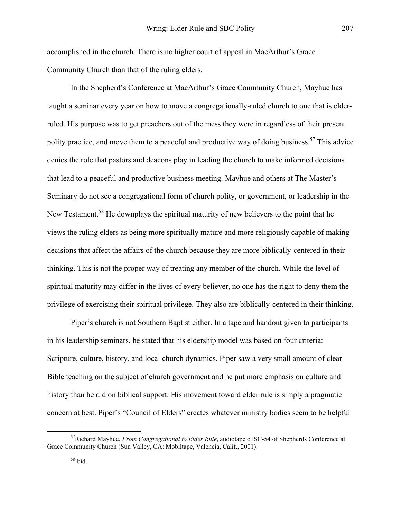accomplished in the church. There is no higher court of appeal in MacArthur's Grace Community Church than that of the ruling elders.

In the Shepherd's Conference at MacArthur's Grace Community Church, Mayhue has taught a seminar every year on how to move a congregationally-ruled church to one that is elderruled. His purpose was to get preachers out of the mess they were in regardless of their present polity practice, and move them to a peaceful and productive way of doing business.<sup>57</sup> This advice denies the role that pastors and deacons play in leading the church to make informed decisions that lead to a peaceful and productive business meeting. Mayhue and others at The Master's Seminary do not see a congregational form of church polity, or government, or leadership in the New Testament.<sup>58</sup> He downplays the spiritual maturity of new believers to the point that he views the ruling elders as being more spiritually mature and more religiously capable of making decisions that affect the affairs of the church because they are more biblically-centered in their thinking. This is not the proper way of treating any member of the church. While the level of spiritual maturity may differ in the lives of every believer, no one has the right to deny them the privilege of exercising their spiritual privilege. They also are biblically-centered in their thinking.

Piper's church is not Southern Baptist either. In a tape and handout given to participants in his leadership seminars, he stated that his eldership model was based on four criteria: Scripture, culture, history, and local church dynamics. Piper saw a very small amount of clear Bible teaching on the subject of church government and he put more emphasis on culture and history than he did on biblical support. His movement toward elder rule is simply a pragmatic concern at best. Piper's "Council of Elders" creates whatever ministry bodies seem to be helpful

 <sup>57</sup>Richard Mayhue, *From Congregational to Elder Rule*, audiotape o1SC-54 of Shepherds Conference at Grace Community Church (Sun Valley, CA: Mobiltape, Valencia, Calif., 2001).

<span id="page-19-1"></span><span id="page-19-0"></span> $58$ Ibid.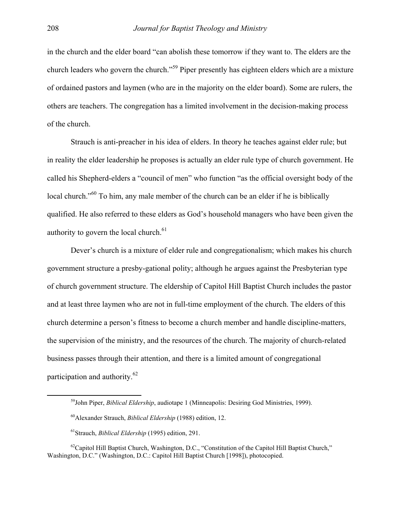in the church and the elder board "can abolish these tomorrow if they want to. The elders are the church leaders who govern the church."[59](#page-20-0) Piper presently has eighteen elders which are a mixture of ordained pastors and laymen (who are in the majority on the elder board). Some are rulers, the others are teachers. The congregation has a limited involvement in the decision-making process of the church.

Strauch is anti-preacher in his idea of elders. In theory he teaches against elder rule; but in reality the elder leadership he proposes is actually an elder rule type of church government. He called his Shepherd-elders a "council of men" who function "as the official oversight body of the local church."<sup>60</sup> To him, any male member of the church can be an elder if he is biblically qualified. He also referred to these elders as God's household managers who have been given the authority to govern the local church. $61$ 

Dever's church is a mixture of elder rule and congregationalism; which makes his church government structure a presby-gational polity; although he argues against the Presbyterian type of church government structure. The eldership of Capitol Hill Baptist Church includes the pastor and at least three laymen who are not in full-time employment of the church. The elders of this church determine a person's fitness to become a church member and handle discipline-matters, the supervision of the ministry, and the resources of the church. The majority of church-related business passes through their attention, and there is a limited amount of congregational participation and authority.[62](#page-20-3)

<span id="page-20-0"></span> <sup>59</sup>John Piper, *Biblical Eldership*, audiotape 1 (Minneapolis: Desiring God Ministries, 1999).

<span id="page-20-1"></span><sup>60</sup>Alexander Strauch, *Biblical Eldership* (1988) edition, 12.

<span id="page-20-3"></span><span id="page-20-2"></span><sup>61</sup>Strauch, *Biblical Eldership* (1995) edition, 291.

 $^{62}$ Capitol Hill Baptist Church, Washington, D.C., "Constitution of the Capitol Hill Baptist Church," Washington, D.C." (Washington, D.C.: Capitol Hill Baptist Church [1998]), photocopied.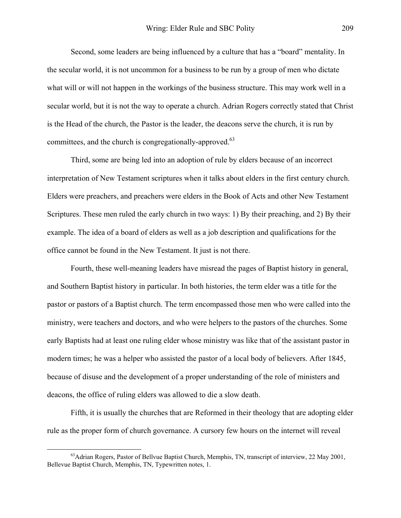Second, some leaders are being influenced by a culture that has a "board" mentality. In the secular world, it is not uncommon for a business to be run by a group of men who dictate what will or will not happen in the workings of the business structure. This may work well in a secular world, but it is not the way to operate a church. Adrian Rogers correctly stated that Christ is the Head of the church, the Pastor is the leader, the deacons serve the church, it is run by committees, and the church is congregationally-approved.<sup>63</sup>

Third, some are being led into an adoption of rule by elders because of an incorrect interpretation of New Testament scriptures when it talks about elders in the first century church. Elders were preachers, and preachers were elders in the Book of Acts and other New Testament Scriptures. These men ruled the early church in two ways: 1) By their preaching, and 2) By their example. The idea of a board of elders as well as a job description and qualifications for the office cannot be found in the New Testament. It just is not there.

Fourth, these well-meaning leaders have misread the pages of Baptist history in general, and Southern Baptist history in particular. In both histories, the term elder was a title for the pastor or pastors of a Baptist church. The term encompassed those men who were called into the ministry, were teachers and doctors, and who were helpers to the pastors of the churches. Some early Baptists had at least one ruling elder whose ministry was like that of the assistant pastor in modern times; he was a helper who assisted the pastor of a local body of believers. After 1845, because of disuse and the development of a proper understanding of the role of ministers and deacons, the office of ruling elders was allowed to die a slow death.

Fifth, it is usually the churches that are Reformed in their theology that are adopting elder rule as the proper form of church governance. A cursory few hours on the internet will reveal

<span id="page-21-0"></span> $^{63}$ Adrian Rogers, Pastor of Bellvue Baptist Church, Memphis, TN, transcript of interview, 22 May 2001, Bellevue Baptist Church, Memphis, TN, Typewritten notes, 1.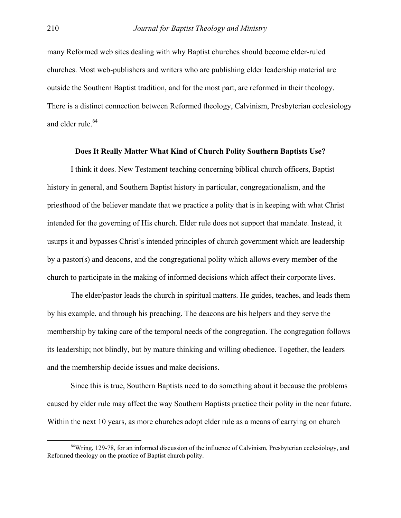many Reformed web sites dealing with why Baptist churches should become elder-ruled churches. Most web-publishers and writers who are publishing elder leadership material are outside the Southern Baptist tradition, and for the most part, are reformed in their theology. There is a distinct connection between Reformed theology, Calvinism, Presbyterian ecclesiology and elder rule.<sup>64</sup>

#### **Does It Really Matter What Kind of Church Polity Southern Baptists Use?**

I think it does. New Testament teaching concerning biblical church officers, Baptist history in general, and Southern Baptist history in particular, congregationalism, and the priesthood of the believer mandate that we practice a polity that is in keeping with what Christ intended for the governing of His church. Elder rule does not support that mandate. Instead, it usurps it and bypasses Christ's intended principles of church government which are leadership by a pastor(s) and deacons, and the congregational polity which allows every member of the church to participate in the making of informed decisions which affect their corporate lives.

The elder/pastor leads the church in spiritual matters. He guides, teaches, and leads them by his example, and through his preaching. The deacons are his helpers and they serve the membership by taking care of the temporal needs of the congregation. The congregation follows its leadership; not blindly, but by mature thinking and willing obedience. Together, the leaders and the membership decide issues and make decisions.

Since this is true, Southern Baptists need to do something about it because the problems caused by elder rule may affect the way Southern Baptists practice their polity in the near future. Within the next 10 years, as more churches adopt elder rule as a means of carrying on church

<span id="page-22-0"></span> $64$ Wring, 129-78, for an informed discussion of the influence of Calvinism, Presbyterian ecclesiology, and Reformed theology on the practice of Baptist church polity.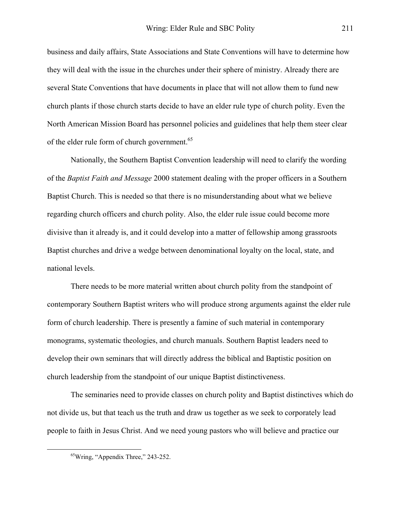business and daily affairs, State Associations and State Conventions will have to determine how they will deal with the issue in the churches under their sphere of ministry. Already there are several State Conventions that have documents in place that will not allow them to fund new church plants if those church starts decide to have an elder rule type of church polity. Even the North American Mission Board has personnel policies and guidelines that help them steer clear of the elder rule form of church government.<sup>[65](#page-23-0)</sup>

Nationally, the Southern Baptist Convention leadership will need to clarify the wording of the *Baptist Faith and Message* 2000 statement dealing with the proper officers in a Southern Baptist Church. This is needed so that there is no misunderstanding about what we believe regarding church officers and church polity. Also, the elder rule issue could become more divisive than it already is, and it could develop into a matter of fellowship among grassroots Baptist churches and drive a wedge between denominational loyalty on the local, state, and national levels.

There needs to be more material written about church polity from the standpoint of contemporary Southern Baptist writers who will produce strong arguments against the elder rule form of church leadership. There is presently a famine of such material in contemporary monograms, systematic theologies, and church manuals. Southern Baptist leaders need to develop their own seminars that will directly address the biblical and Baptistic position on church leadership from the standpoint of our unique Baptist distinctiveness.

The seminaries need to provide classes on church polity and Baptist distinctives which do not divide us, but that teach us the truth and draw us together as we seek to corporately lead people to faith in Jesus Christ. And we need young pastors who will believe and practice our

<span id="page-23-0"></span> $^{65}$ Wring, "Appendix Three," 243-252.